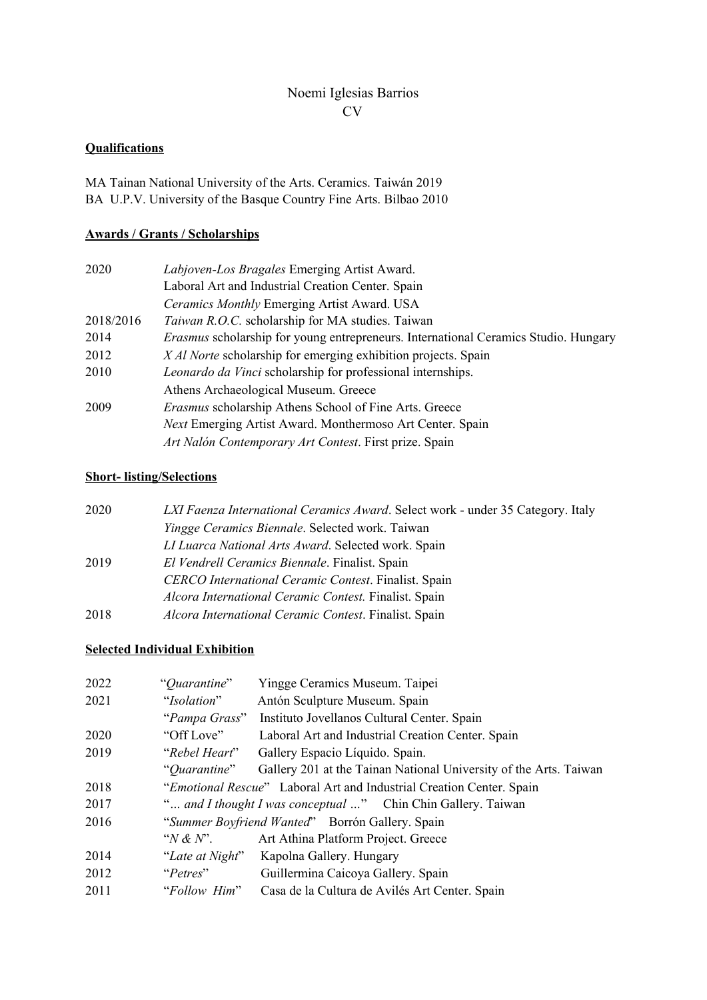## Noemi Iglesias Barrios CV

## **Qualifications**

MA Tainan National University of the Arts. Ceramics. Taiwán 2019 BA U.P.V. University of the Basque Country Fine Arts. Bilbao 2010

### **Awards / Grants / Scholarships**

| 2020      | Labjoven-Los Bragales Emerging Artist Award.                                               |
|-----------|--------------------------------------------------------------------------------------------|
|           | Laboral Art and Industrial Creation Center. Spain                                          |
|           | Ceramics Monthly Emerging Artist Award. USA                                                |
| 2018/2016 | <i>Taiwan R.O.C.</i> scholarship for MA studies. Taiwan                                    |
| 2014      | <i>Erasmus</i> scholarship for young entrepreneurs. International Ceramics Studio. Hungary |
| 2012      | X Al Norte scholarship for emerging exhibition projects. Spain                             |
| 2010      | Leonardo da Vinci scholarship for professional internships.                                |
|           | Athens Archaeological Museum. Greece                                                       |
| 2009      | <i>Erasmus</i> scholarship Athens School of Fine Arts. Greece                              |
|           | <i>Next</i> Emerging Artist Award. Monthermoso Art Center. Spain                           |
|           | Art Nalón Contemporary Art Contest. First prize. Spain                                     |

# **Short- listing/Selections**

| 2020 | LXI Faenza International Ceramics Award. Select work - under 35 Category. Italy |
|------|---------------------------------------------------------------------------------|
|      | <i>Yingge Ceramics Biennale.</i> Selected work. Taiwan                          |
|      | LI Luarca National Arts Award. Selected work. Spain                             |
| 2019 | El Vendrell Ceramics Biennale. Finalist. Spain                                  |
|      | CERCO International Ceramic Contest. Finalist. Spain                            |
|      | Alcora International Ceramic Contest. Finalist. Spain                           |
| 2018 | Alcora International Ceramic Contest. Finalist. Spain                           |
|      |                                                                                 |

### **Selected Individual Exhibition**

| 2022 | "Quarantine"                                    | Yingge Ceramics Museum. Taipei                                       |
|------|-------------------------------------------------|----------------------------------------------------------------------|
| 2021 | "Isolation"                                     | Antón Sculpture Museum. Spain                                        |
|      | "Pampa Grass"                                   | Instituto Jovellanos Cultural Center. Spain                          |
| 2020 | "Off Love"                                      | Laboral Art and Industrial Creation Center. Spain                    |
| 2019 | "Rebel Heart"                                   | Gallery Espacio Líquido. Spain.                                      |
|      | "Quarantine"                                    | Gallery 201 at the Tainan National University of the Arts. Taiwan    |
| 2018 |                                                 | "Emotional Rescue" Laboral Art and Industrial Creation Center. Spain |
| 2017 |                                                 | " and I thought I was conceptual " Chin Chin Gallery. Taiwan         |
| 2016 | "Summer Boyfriend Wanted" Borrón Gallery. Spain |                                                                      |
|      | "N & N".                                        | Art Athina Platform Project. Greece                                  |
| 2014 | "Late at Night"                                 | Kapolna Gallery. Hungary                                             |
| 2012 | "Petres"                                        | Guillermina Caicoya Gallery. Spain                                   |
| 2011 | "Follow Him"                                    | Casa de la Cultura de Avilés Art Center. Spain                       |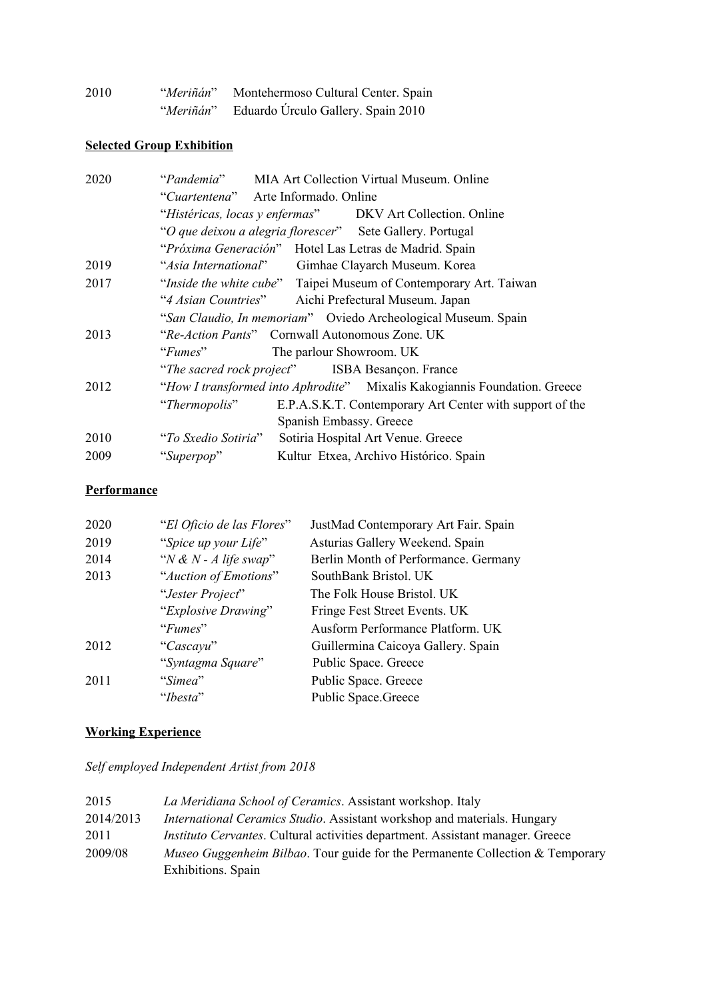| 2010 | <i>"Meriñán"</i> | Montehermoso Cultural Center. Spain |
|------|------------------|-------------------------------------|
|      | "Meriñán"        | Eduardo Úrculo Gallery. Spain 2010  |

# **Selected Group Exhibition**

| 2020 |                     | "Pandemia" MIA Art Collection Virtual Museum. Online                      |
|------|---------------------|---------------------------------------------------------------------------|
|      |                     | "Cuartentena" Arte Informado. Online                                      |
|      |                     | "Histéricas, locas y enfermas" DKV Art Collection. Online                 |
|      |                     | "O que deixou a alegria florescer" Sete Gallery. Portugal                 |
|      |                     | "Próxima Generación" Hotel Las Letras de Madrid. Spain                    |
| 2019 |                     | "Asia International" Gimhae Clayarch Museum. Korea                        |
| 2017 |                     | "Inside the white cube" Taipei Museum of Contemporary Art. Taiwan         |
|      |                     | "4 Asian Countries" Aichi Prefectural Museum. Japan                       |
|      |                     | "San Claudio, In memoriam" Oviedo Archeological Museum. Spain             |
| 2013 |                     | "Re-Action Pants" Cornwall Autonomous Zone. UK                            |
|      | $\lq$ Fumes"        | The parlour Showroom. UK                                                  |
|      |                     | "The sacred rock project" ISBA Besançon. France                           |
| 2012 |                     | "How I transformed into Aphrodite" Mixalis Kakogiannis Foundation. Greece |
|      | "Thermopolis"       | E.P.A.S.K.T. Contemporary Art Center with support of the                  |
|      |                     | Spanish Embassy. Greece                                                   |
| 2010 | "To Sxedio Sotiria" | Sotiria Hospital Art Venue. Greece                                        |
| 2009 | "Superpop"          | Kultur Etxea, Archivo Histórico. Spain                                    |
|      |                     |                                                                           |

## **Performance**

| 2020 | "El Oficio de las Flores" | JustMad Contemporary Art Fair. Spain |
|------|---------------------------|--------------------------------------|
| 2019 | "Spice up your Life"      | Asturias Gallery Weekend. Spain      |
| 2014 | "N & N - A life swap"     | Berlin Month of Performance. Germany |
| 2013 | "Auction of Emotions"     | SouthBank Bristol. UK                |
|      | "Jester Project"          | The Folk House Bristol. UK           |
|      | "Explosive Drawing"       | Fringe Fest Street Events. UK        |
|      | "Fumes"                   | Ausform Performance Platform. UK     |
| 2012 | "Cascayu"                 | Guillermina Caicoya Gallery. Spain   |
|      | "Syntagma Square"         | Public Space. Greece                 |
| 2011 | "Simea"                   | Public Space. Greece                 |
|      | "Ibesta"                  | <b>Public Space.Greece</b>           |

# **Working Experience**

*Self employed Independent Artist from 2018*

| 2015      | La Meridiana School of Ceramics. Assistant workshop. Italy                            |
|-----------|---------------------------------------------------------------------------------------|
| 2014/2013 | <i>International Ceramics Studio.</i> Assistant workshop and materials. Hungary       |
| 2011      | <i>Instituto Cervantes.</i> Cultural activities department. Assistant manager. Greece |
| 2009/08   | <i>Museo Guggenheim Bilbao.</i> Tour guide for the Permanente Collection & Temporary  |
|           | Exhibitions. Spain                                                                    |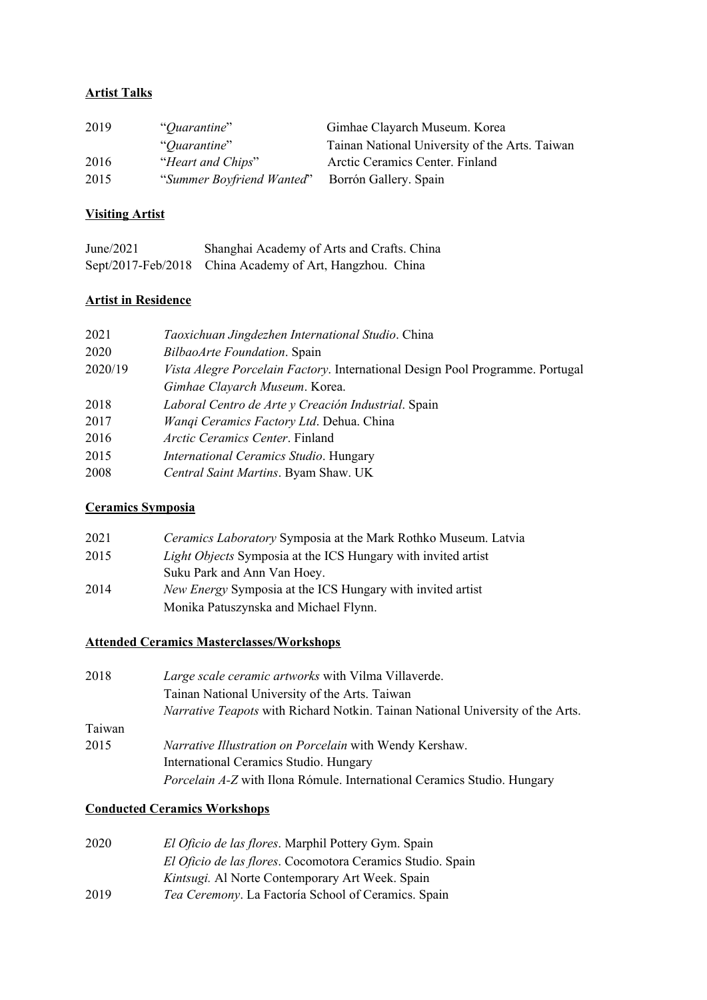## **Artist Talks**

| 2019 | "Quarantine"              | Gimhae Clayarch Museum. Korea                  |
|------|---------------------------|------------------------------------------------|
|      | "Ouarantine"              | Tainan National University of the Arts. Taiwan |
| 2016 | "Heart and Chips"         | Arctic Ceramics Center. Finland                |
| 2015 | "Summer Boyfriend Wanted" | Borrón Gallery. Spain                          |

## **Visiting Artist**

| June $/2021$ | Shanghai Academy of Arts and Crafts. China               |
|--------------|----------------------------------------------------------|
|              | Sept/2017-Feb/2018 China Academy of Art, Hangzhou. China |

# **Artist in Residence**

| BilbaoArte Foundation. Spain<br>2020<br>2020/19             | 2021 | Taoxichuan Jingdezhen International Studio. China                                    |
|-------------------------------------------------------------|------|--------------------------------------------------------------------------------------|
|                                                             |      |                                                                                      |
|                                                             |      | <i>Vista Alegre Porcelain Factory.</i> International Design Pool Programme. Portugal |
|                                                             |      | Gimhae Clayarch Museum. Korea.                                                       |
| Laboral Centro de Arte y Creación Industrial. Spain<br>2018 |      |                                                                                      |
| Wanqi Ceramics Factory Ltd. Dehua. China<br>2017            |      |                                                                                      |
| <i>Arctic Ceramics Center.</i> Finland<br>2016              |      |                                                                                      |
| 2015<br>International Ceramics Studio. Hungary              |      |                                                                                      |
| 2008<br>Central Saint Martins. Byam Shaw. UK                |      |                                                                                      |

## **Ceramics Symposia**

| 2021 | Ceramics Laboratory Symposia at the Mark Rothko Museum. Latvia       |
|------|----------------------------------------------------------------------|
| 2015 | <i>Light Objects</i> Symposia at the ICS Hungary with invited artist |
|      | Suku Park and Ann Van Hoey.                                          |
| 2014 | New Energy Symposia at the ICS Hungary with invited artist           |
|      | Monika Patuszynska and Michael Flynn.                                |

# **Attended Ceramics Masterclasses/Workshops**

| 2018   | Large scale ceramic artworks with Vilma Villaverde.                            |
|--------|--------------------------------------------------------------------------------|
|        | Tainan National University of the Arts. Taiwan                                 |
|        | Narrative Teapots with Richard Notkin. Tainan National University of the Arts. |
| Taiwan |                                                                                |
| 2015   | <i>Narrative Illustration on Porcelain with Wendy Kershaw.</i>                 |
|        | International Ceramics Studio. Hungary                                         |
|        | <i>Porcelain A-Z</i> with Ilona Rómule. International Ceramics Studio. Hungary |

## **Conducted Ceramics Workshops**

| 2020 | El Oficio de las flores. Marphil Pottery Gym. Spain        |
|------|------------------------------------------------------------|
|      | El Oficio de las flores. Cocomotora Ceramics Studio. Spain |
|      | Kintsugi. Al Norte Contemporary Art Week. Spain            |
| 2019 | <i>Tea Ceremony.</i> La Factoría School of Ceramics. Spain |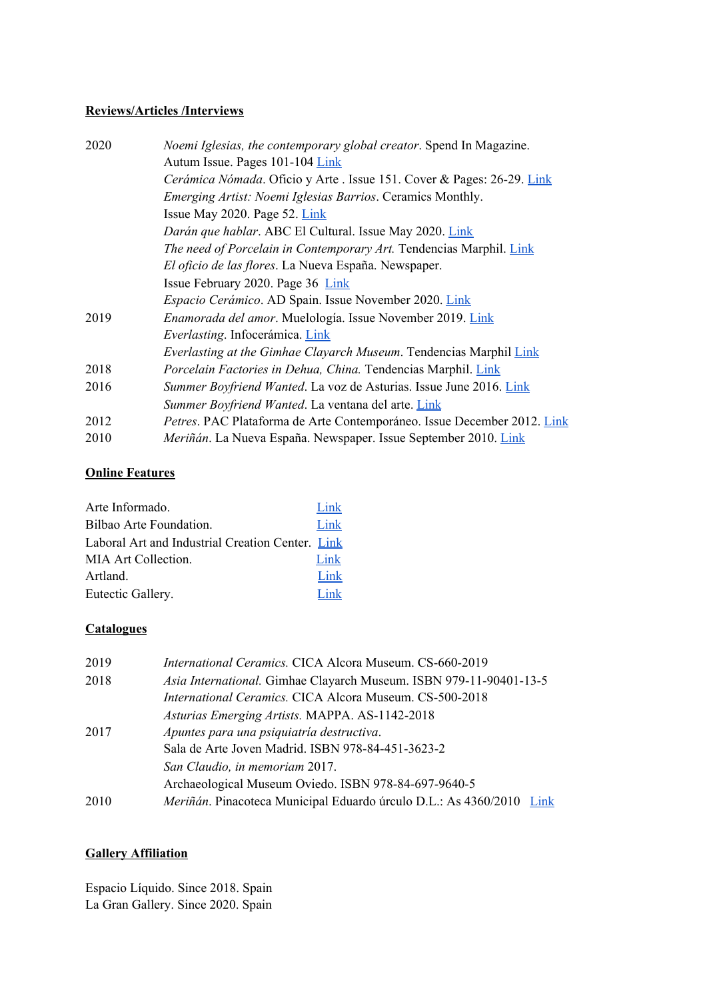### **Reviews/Articles /Interviews**

| 2020 | Noemi Iglesias, the contemporary global creator. Spend In Magazine.     |
|------|-------------------------------------------------------------------------|
|      | Autum Issue. Pages 101-104 Link                                         |
|      | Cerámica Nómada. Oficio y Arte . Issue 151. Cover & Pages: 26-29. Link  |
|      | Emerging Artist: Noemi Iglesias Barrios. Ceramics Monthly.              |
|      | Issue May 2020. Page 52. Link                                           |
|      | Darán que hablar. ABC El Cultural. Issue May 2020. Link                 |
|      | The need of Porcelain in Contemporary Art. Tendencias Marphil. Link     |
|      | El oficio de las flores. La Nueva España. Newspaper.                    |
|      | Issue February 2020. Page 36 Link                                       |
|      | Espacio Cerámico. AD Spain. Issue November 2020. Link                   |
| 2019 | Enamorada del amor. Muelología. Issue November 2019. Link               |
|      | Everlasting. Infocerámica. Link                                         |
|      | Everlasting at the Gimhae Clayarch Museum. Tendencias Marphil Link      |
| 2018 | Porcelain Factories in Dehua, China. Tendencias Marphil. Link           |
| 2016 | Summer Boyfriend Wanted. La voz de Asturias. Issue June 2016. Link      |
|      | Summer Boyfriend Wanted. La ventana del arte. Link                      |
| 2012 | Petres. PAC Plataforma de Arte Contemporáneo. Issue December 2012. Link |
| 2010 | Meriñán. La Nueva España. Newspaper. Issue September 2010. Link         |

### **Online Features**

| Arte Informado.                                  | Link    |
|--------------------------------------------------|---------|
| Bilbao Arte Foundation.                          | Link    |
| Laboral Art and Industrial Creation Center. Link |         |
| MIA Art Collection.                              | Link    |
| Artland.                                         | Link    |
| Eutectic Gallery.                                | $1$ ink |

### **Catalogues**

| 2019 | International Ceramics. CICA Alcora Museum. CS-660-2019              |
|------|----------------------------------------------------------------------|
| 2018 | Asia International. Gimhae Clayarch Museum. ISBN 979-11-90401-13-5   |
|      | International Ceramics. CICA Alcora Museum. CS-500-2018              |
|      | Asturias Emerging Artists. MAPPA. AS-1142-2018                       |
| 2017 | Apuntes para una psiquiatría destructiva.                            |
|      | Sala de Arte Joven Madrid. ISBN 978-84-451-3623-2                    |
|      | San Claudio, in memoriam 2017.                                       |
|      | Archaeological Museum Oviedo. ISBN 978-84-697-9640-5                 |
| 2010 | Meriñán. Pinacoteca Municipal Eduardo úrculo D.L.: As 4360/2010 Link |

# **Gallery Affiliation**

Espacio Líquido. Since 2018. Spain La Gran Gallery. Since 2020. Spain